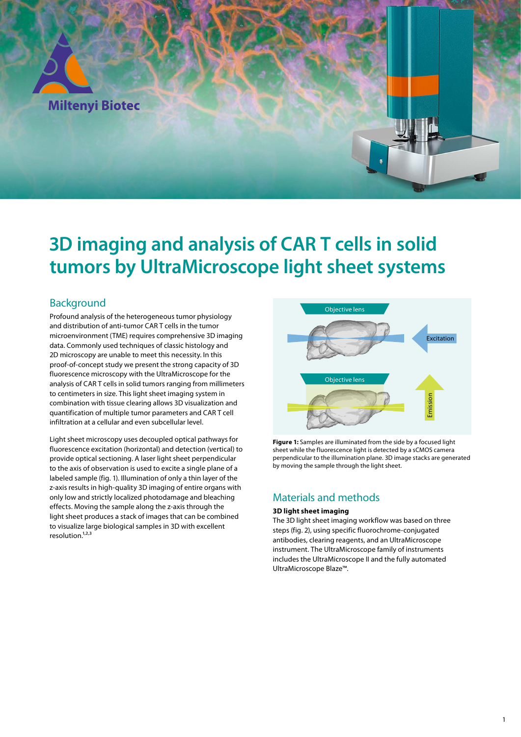

# **3D imaging and analysis of CAR T cells in solid tumors by UltraMicroscope light sheet systems**

# Background

Profound analysis of the heterogeneous tumor physiology and distribution of anti-tumor CAR T cells in the tumor microenvironment (TME) requires comprehensive 3D imaging data. Commonly used techniques of classic histology and 2D microscopy are unable to meet this necessity. In this proof-of-concept study we present the strong capacity of 3D fluorescence microscopy with the UltraMicroscope for the analysis of CAR T cells in solid tumors ranging from millimeters to centimeters in size. This light sheet imaging system in combination with tissue clearing allows 3D visualization and quantification of multiple tumor parameters and CAR T cell infiltration at a cellular and even subcellular level.

Light sheet microscopy uses decoupled optical pathways for fluorescence excitation (horizontal) and detection (vertical) to provide optical sectioning. A laser light sheet perpendicular to the axis of observation is used to excite a single plane of a labeled sample (fig. 1). Illumination of only a thin layer of the z-axis results in high-quality 3D imaging of entire organs with only low and strictly localized photodamage and bleaching effects. Moving the sample along the z-axis through the light sheet produces a stack of images that can be combined to visualize large biological samples in 3D with excellent resolution.<sup>1,2,3</sup>



**Figure 1:** Samples are illuminated from the side by a focused light sheet while the fluorescence light is detected by a sCMOS camera perpendicular to the illumination plane. 3D image stacks are generated by moving the sample through the light sheet.

# Materials and methods

#### **3D light sheet imaging**

The 3D light sheet imaging workflow was based on three steps (fig. 2), using specific fluorochrome-conjugated antibodies, clearing reagents, and an UltraMicroscope instrument. The UltraMicroscope family of instruments includes the UltraMicroscope II and the fully automated UltraMicroscope Blaze™.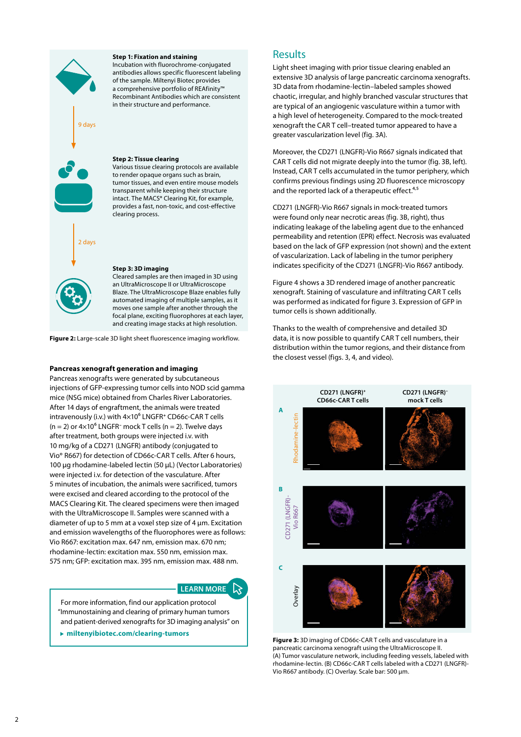

#### **Step 1: Fixation and staining**

Incubation with fluorochrome-conjugated antibodies allows specific fluorescent labeling of the sample. Miltenyi Biotec provides a comprehensive portfolio of REAfinity™ Recombinant Antibodies which are consistent in their structure and performance.

**Step 2: Tissue clearing**

Various tissue clearing protocols are available to render opaque organs such as brain, tumor tissues, and even entire mouse models transparent while keeping their structure intact. The MACS® Clearing Kit, for example, provides a fast, non-toxic, and cost-effective clearing process.

#### **Step 3: 3D imaging**

Cleared samples are then imaged in 3D using an UltraMicroscope II or UltraMicroscope Blaze. The UltraMicroscope Blaze enables fully automated imaging of multiple samples, as it moves one sample after another through the focal plane, exciting fluorophores at each layer, and creating image stacks at high resolution.

**Figure 2:** Large-scale 3D light sheet fluorescence imaging workflow.

#### **Pancreas xenograft generation and imaging**

Pancreas xenografts were generated by subcutaneous injections of GFP-expressing tumor cells into NOD scid gamma mice (NSG mice) obtained from Charles River Laboratories. After 14 days of engraftment, the animals were treated intravenously (i.v.) with 4×10⁶ LNGFR**<sup>+</sup>** CD66c-CAR T cells (n = 2) or 4×10⁶ LNGFR**–** mock T cells (n = 2). Twelve days after treatment, both groups were injected i.v. with 10 mg/kg of a CD271 (LNGFR) antibody (conjugated to Vio® R667) for detection of CD66c-CAR T cells. After 6 hours, 100 μg rhodamine-labeled lectin (50 μL) (Vector Laboratories) were injected i.v. for detection of the vasculature. After 5 minutes of incubation, the animals were sacrificed, tumors were excised and cleared according to the protocol of the MACS Clearing Kit. The cleared specimens were then imaged with the UltraMicroscope II. Samples were scanned with a diameter of up to 5 mm at a voxel step size of 4 μm. Excitation and emission wavelengths of the fluorophores were as follows: Vio R667: excitation max. 647 nm, emission max. 670 nm; rhodamine-lectin: excitation max. 550 nm, emission max. 575 nm; GFP: excitation max. 395 nm, emission max. 488 nm.

#### **LEARN MORE**

For more information, find our application protocol "Immunostaining and clearing of primary human tumors and patient-derived xenografts for 3D imaging analysis" on

 **miltenyibiotec.com/clearing-tumors**

### Results

Light sheet imaging with prior tissue clearing enabled an extensive 3D analysis of large pancreatic carcinoma xenografts. 3D data from rhodamine-lectin–labeled samples showed chaotic, irregular, and highly branched vascular structures that are typical of an angiogenic vasculature within a tumor with a high level of heterogeneity. Compared to the mock-treated xenograft the CAR T cell–treated tumor appeared to have a greater vascularization level (fig. 3A).

Moreover, the CD271 (LNGFR)-Vio R667 signals indicated that CAR T cells did not migrate deeply into the tumor (fig. 3B, left). Instead, CAR T cells accumulated in the tumor periphery, which confirms previous findings using 2D fluorescence microscopy and the reported lack of a therapeutic effect.<sup>4,5</sup>

CD271 (LNGFR)-Vio R667 signals in mock-treated tumors were found only near necrotic areas (fig. 3B, right), thus indicating leakage of the labeling agent due to the enhanced permeability and retention (EPR) effect. Necrosis was evaluated based on the lack of GFP expression (not shown) and the extent of vascularization. Lack of labeling in the tumor periphery indicates specificity of the CD271 (LNGFR)-Vio R667 antibody.

Figure 4 shows a 3D rendered image of another pancreatic xenograft. Staining of vasculature and infiltrating CAR T cells was performed as indicated for figure 3. Expression of GFP in tumor cells is shown additionally.

Thanks to the wealth of comprehensive and detailed 3D data, it is now possible to quantify CAR T cell numbers, their distribution within the tumor regions, and their distance from the closest vessel (figs. 3, 4, and video).



**Figure 3:** 3D imaging of CD66c-CAR T cells and vasculature in a pancreatic carcinoma xenograft using the UltraMicroscope II. (A) Tumor vasculature network, including feeding vessels, labeled with rhodamine-lectin. (B) CD66c-CAR T cells labeled with a CD271 (LNGFR)- Vio R667 antibody. (C) Overlay. Scale bar: 500 µm.